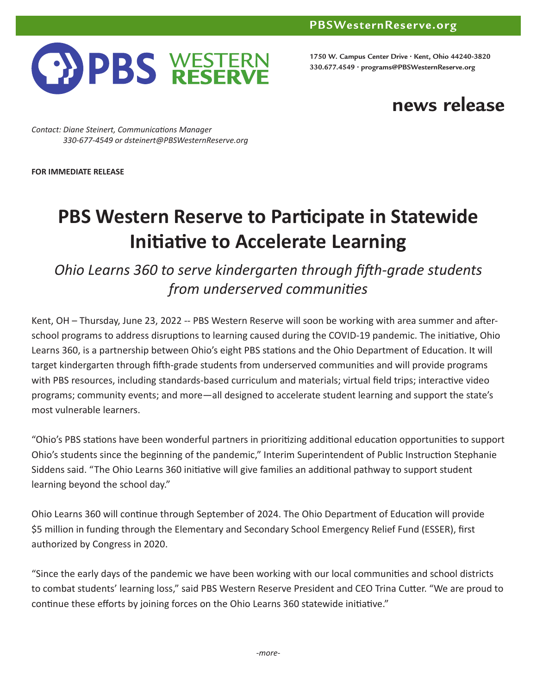

**1750 W. Campus Center Drive • Kent, Ohio 44240-3820 330.677.4549 • programs@PBSWesternReserve.org**

## **news release**

*Contact: Diane Steinert, Communications Manager 330-677-4549 or dsteinert@PBSWesternReserve.org*

**FOR IMMEDIATE RELEASE**

## **PBS Western Reserve to Participate in Statewide Initiative to Accelerate Learning**

*Ohio Learns 360 to serve kindergarten through fifth-grade students from underserved communities*

Kent, OH – Thursday, June 23, 2022 -- PBS Western Reserve will soon be working with area summer and afterschool programs to address disruptions to learning caused during the COVID-19 pandemic. The initiative, Ohio Learns 360, is a partnership between Ohio's eight PBS stations and the Ohio Department of Education. It will target kindergarten through fifth-grade students from underserved communities and will provide programs with PBS resources, including standards-based curriculum and materials; virtual field trips; interactive video programs; community events; and more—all designed to accelerate student learning and support the state's most vulnerable learners.

"Ohio's PBS stations have been wonderful partners in prioritizing additional education opportunities to support Ohio's students since the beginning of the pandemic," Interim Superintendent of Public Instruction Stephanie Siddens said. "The Ohio Learns 360 initiative will give families an additional pathway to support student learning beyond the school day."

Ohio Learns 360 will continue through September of 2024. The Ohio Department of Education will provide \$5 million in funding through the Elementary and Secondary School Emergency Relief Fund (ESSER), first authorized by Congress in 2020.

"Since the early days of the pandemic we have been working with our local communities and school districts to combat students' learning loss," said PBS Western Reserve President and CEO Trina Cutter. "We are proud to continue these efforts by joining forces on the Ohio Learns 360 statewide initiative."